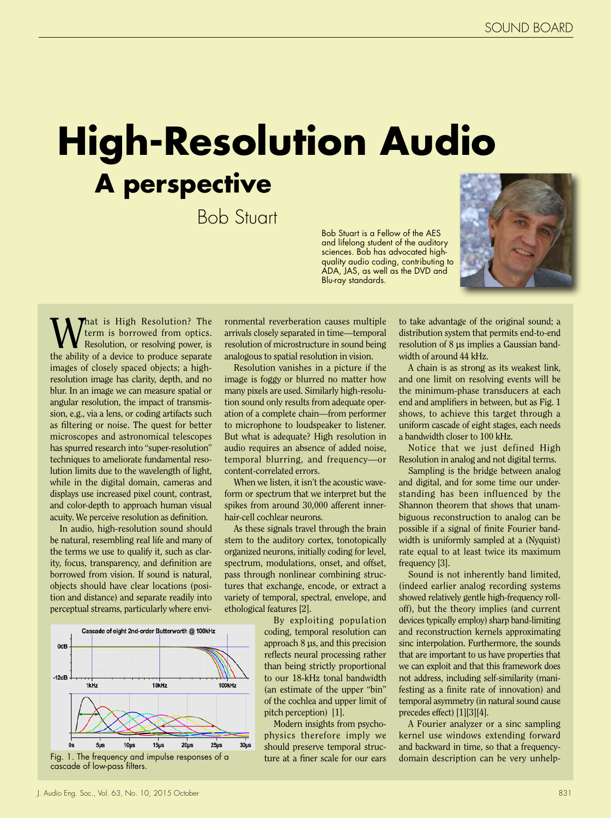## **High-Resolution Audio A perspective**

Bob Stuart

Bob Stuart is a Fellow of the AES and lifelong student of the auditory sciences. Bob has advocated highquality audio coding, contributing to ADA, JAS, as well as the DVD and Blu-ray standards.



What is High Resolution? The<br>Resolution, or resolving power, is<br>the philip of a device to produce separate term is borrowed from optics. Resolution, or resolving power, is the ability of a device to produce separate images of closely spaced objects; a highresolution image has clarity, depth, and no blur. In an image we can measure spatial or angular resolution, the impact of transmission, e.g., via a lens, or coding artifacts such as filtering or noise. The quest for better microscopes and astronomical telescopes has spurred research into "super-resolution" techniques to ameliorate fundamental resolution limits due to the wavelength of light, while in the digital domain, cameras and displays use increased pixel count, contrast, and color-depth to approach human visual acuity. We perceive resolution as definition.

In audio, high-resolution sound should be natural, resembling real life and many of the terms we use to qualify it, such as clarity, focus, transparency, and definition are borrowed from vision. If sound is natural, objects should have clear locations (position and distance) and separate readily into perceptual streams, particularly where envi-



ronmental reverberation causes multiple arrivals closely separated in time—temporal resolution of microstructure in sound being analogous to spatial resolution in vision.

Resolution vanishes in a picture if the image is foggy or blurred no matter how many pixels are used. Similarly high-resolution sound only results from adequate operation of a complete chain—from performer to microphone to loudspeaker to listener. But what is adequate? High resolution in audio requires an absence of added noise, temporal blurring, and frequency—or content-correlated errors.

When we listen, it isn't the acoustic waveform or spectrum that we interpret but the spikes from around 30,000 afferent innerhair-cell cochlear neurons.

As these signals travel through the brain stem to the auditory cortex, tonotopically organized neurons, initially coding for level, spectrum, modulations, onset, and offset, pass through nonlinear combining structures that exchange, encode, or extract a variety of temporal, spectral, envelope, and ethological features [2].

> By exploiting population coding, temporal resolution can approach 8 μs, and this precision reflects neural processing rather than being strictly proportional to our 18-kHz tonal bandwidth (an estimate of the upper "bin" of the cochlea and upper limit of pitch perception) [1].

> Modern insights from psychophysics therefore imply we should preserve temporal structure at a finer scale for our ears

to take advantage of the original sound; a distribution system that permits end-to-end resolution of 8 μs implies a Gaussian bandwidth of around 44 kHz.

A chain is as strong as its weakest link, and one limit on resolving events will be the minimum-phase transducers at each end and amplifiers in between, but as Fig. 1 shows, to achieve this target through a uniform cascade of eight stages, each needs a bandwidth closer to 100 kHz.

Notice that we just defined High Resolution in analog and not digital terms.

Sampling is the bridge between analog and digital, and for some time our understanding has been influenced by the Shannon theorem that shows that unambiguous reconstruction to analog can be possible if a signal of finite Fourier bandwidth is uniformly sampled at a (Nyquist) rate equal to at least twice its maximum frequency [3].

Sound is not inherently band limited, (indeed earlier analog recording systems showed relatively gentle high-frequency rolloff), but the theory implies (and current devices typically employ) sharp band-limiting and reconstruction kernels approximating sinc interpolation. Furthermore, the sounds that are important to us have properties that we can exploit and that this framework does not address, including self-similarity (manifesting as a finite rate of innovation) and temporal asymmetry (in natural sound cause precedes effect) [1][3][4].

A Fourier analyzer or a sinc sampling kernel use windows extending forward and backward in time, so that a frequencydomain description can be very unhelp-